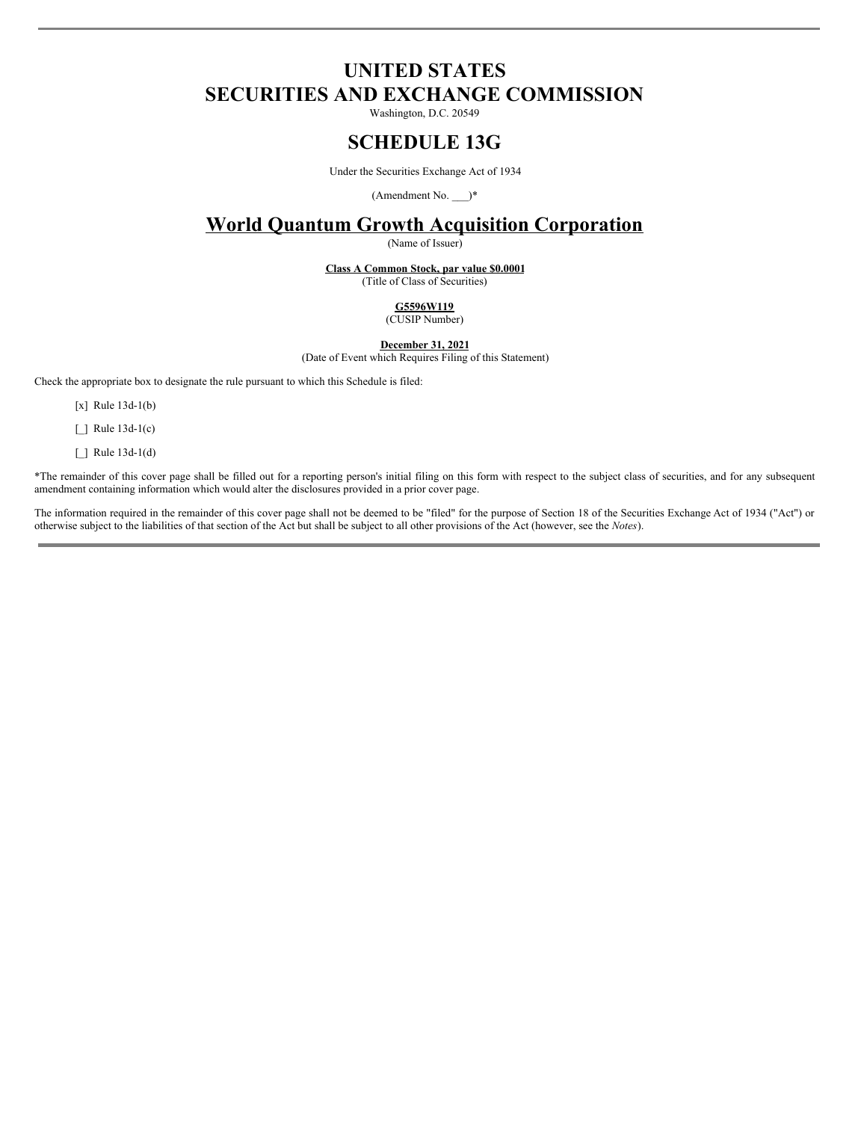# **UNITED STATES SECURITIES AND EXCHANGE COMMISSION**

Washington, D.C. 20549

## **SCHEDULE 13G**

Under the Securities Exchange Act of 1934

(Amendment No. \_\_\_)\*

# **World Quantum Growth Acquisition Corporation**

(Name of Issuer)

**Class A Common Stock, par value \$0.0001** (Title of Class of Securities)

> **G5596W119** (CUSIP Number)

**December 31, 2021**

(Date of Event which Requires Filing of this Statement)

Check the appropriate box to designate the rule pursuant to which this Schedule is filed:

[x] Rule 13d-1(b)

[ ] Rule 13d-1(c)

 $\Box$  Rule 13d-1(d)

\*The remainder of this cover page shall be filled out for a reporting person's initial filing on this form with respect to the subject class of securities, and for any subsequent amendment containing information which would alter the disclosures provided in a prior cover page.

The information required in the remainder of this cover page shall not be deemed to be "filed" for the purpose of Section 18 of the Securities Exchange Act of 1934 ("Act") or otherwise subject to the liabilities of that section of the Act but shall be subject to all other provisions of the Act (however, see the *Notes*).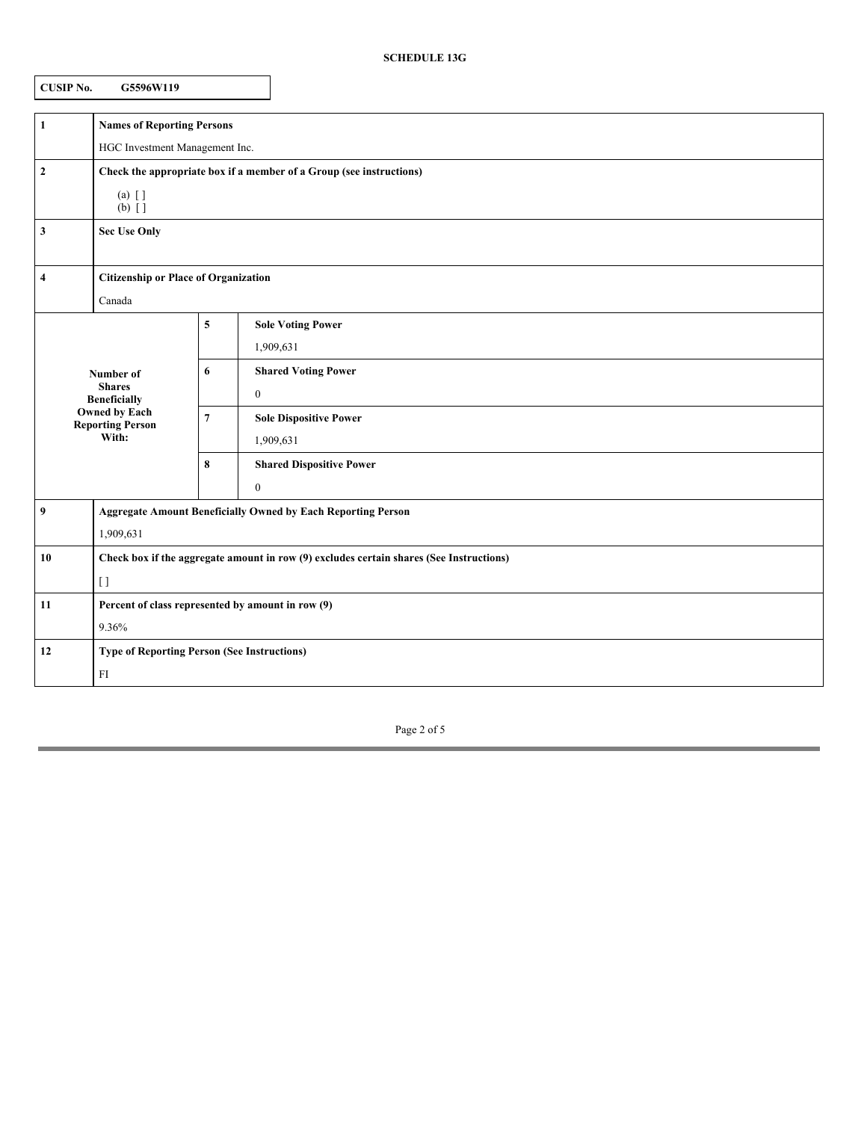| CUSIP No. | G5596W119 |
|-----------|-----------|
|           |           |

| $\mathbf{1}$                                                                                                  | <b>Names of Reporting Persons</b>                                                       |                |                                 |  |  |
|---------------------------------------------------------------------------------------------------------------|-----------------------------------------------------------------------------------------|----------------|---------------------------------|--|--|
|                                                                                                               | HGC Investment Management Inc.                                                          |                |                                 |  |  |
| $\boldsymbol{2}$                                                                                              | Check the appropriate box if a member of a Group (see instructions)                     |                |                                 |  |  |
|                                                                                                               | $(a)$ []<br>$(b)$ []                                                                    |                |                                 |  |  |
| 3                                                                                                             | <b>Sec Use Only</b>                                                                     |                |                                 |  |  |
|                                                                                                               |                                                                                         |                |                                 |  |  |
| 4                                                                                                             | <b>Citizenship or Place of Organization</b>                                             |                |                                 |  |  |
|                                                                                                               | Canada                                                                                  |                |                                 |  |  |
|                                                                                                               |                                                                                         | 5              | <b>Sole Voting Power</b>        |  |  |
| Number of<br><b>Shares</b><br><b>Beneficially</b><br><b>Owned by Each</b><br><b>Reporting Person</b><br>With: |                                                                                         |                | 1,909,631                       |  |  |
|                                                                                                               |                                                                                         | 6              | <b>Shared Voting Power</b>      |  |  |
|                                                                                                               |                                                                                         |                | $\bf{0}$                        |  |  |
|                                                                                                               |                                                                                         | $\overline{7}$ | <b>Sole Dispositive Power</b>   |  |  |
|                                                                                                               |                                                                                         |                | 1,909,631                       |  |  |
|                                                                                                               |                                                                                         | 8              | <b>Shared Dispositive Power</b> |  |  |
|                                                                                                               |                                                                                         |                | $\mathbf{0}$                    |  |  |
| 9                                                                                                             | <b>Aggregate Amount Beneficially Owned by Each Reporting Person</b>                     |                |                                 |  |  |
|                                                                                                               | 1,909,631                                                                               |                |                                 |  |  |
| 10                                                                                                            | Check box if the aggregate amount in row (9) excludes certain shares (See Instructions) |                |                                 |  |  |
|                                                                                                               | $\lceil$                                                                                |                |                                 |  |  |
| 11                                                                                                            | Percent of class represented by amount in row (9)                                       |                |                                 |  |  |
|                                                                                                               | 9.36%                                                                                   |                |                                 |  |  |
| 12                                                                                                            | <b>Type of Reporting Person (See Instructions)</b>                                      |                |                                 |  |  |
|                                                                                                               | ${\rm FI}$                                                                              |                |                                 |  |  |

Page 2 of 5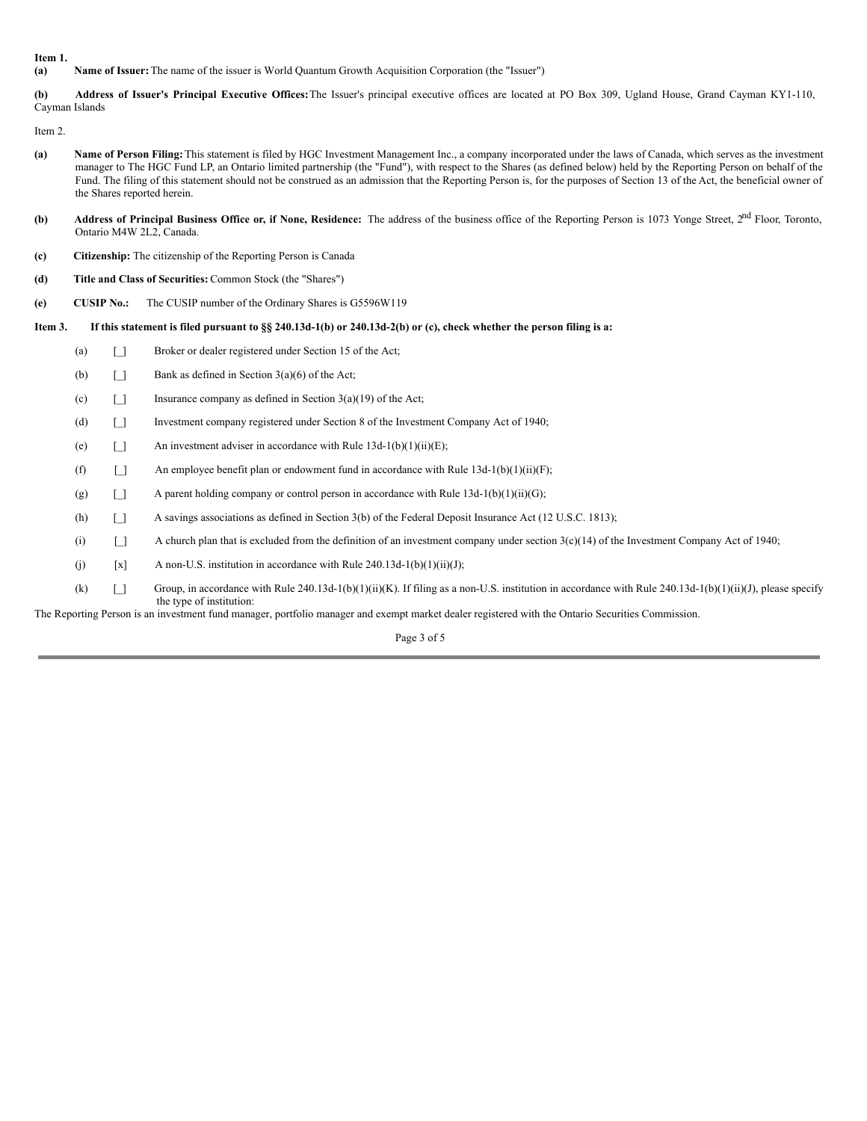**Item 1.**

**(a) Name of Issuer:** The name of the issuer is World Quantum Growth Acquisition Corporation (the "Issuer")

**(b) Address of Issuer's Principal Executive Offices:**The Issuer's principal executive offices are located at PO Box 309, Ugland House, Grand Cayman KY1-110, Cayman Islands

Item 2.

- **(a) Name of Person Filing:**This statement is filed by HGC Investment Management Inc., a company incorporated under the laws of Canada, which serves as the investment manager to The HGC Fund LP, an Ontario limited partnership (the "Fund"), with respect to the Shares (as defined below) held by the Reporting Person on behalf of the Fund. The filing of this statement should not be construed as an admission that the Reporting Person is, for the purposes of Section 13 of the Act, the beneficial owner of the Shares reported herein.
- (b) Address of Principal Business Office or, if None, Residence: The address of the business office of the Reporting Person is 1073 Yonge Street, 2<sup>nd</sup> Floor, Toronto, Ontario M4W 2L2, Canada.
- **(c) Citizenship:** The citizenship of the Reporting Person is Canada
- **(d) Title and Class of Securities:** Common Stock (the "Shares")
- **(e) CUSIP No.:** The CUSIP number of the Ordinary Shares is G5596W119

#### Item 3. If this statement is filed pursuant to §§ 240.13d-1(b) or 240.13d-2(b) or (c), check whether the person filing is a:

- (a) [\_] Broker or dealer registered under Section 15 of the Act;
	- (b)  $\Box$  Bank as defined in Section 3(a)(6) of the Act;
	- (c)  $\Box$  Insurance company as defined in Section 3(a)(19) of the Act;
	- (d) [\_] Investment company registered under Section 8 of the Investment Company Act of 1940;
	- (e)  $\Box$  An investment adviser in accordance with Rule 13d-1(b)(1)(ii)(E);
	- (f)  $\Box$  An employee benefit plan or endowment fund in accordance with Rule 13d-1(b)(1)(ii)(F);
	- (g)  $\begin{bmatrix} 1 \end{bmatrix}$  A parent holding company or control person in accordance with Rule 13d-1(b)(1)(ii)(G);
	- (h) [\_] A savings associations as defined in Section 3(b) of the Federal Deposit Insurance Act (12 U.S.C. 1813);
	- (i)  $\Box$  A church plan that is excluded from the definition of an investment company under section 3(c)(14) of the Investment Company Act of 1940;
	- (j)  $[x]$  A non-U.S. institution in accordance with Rule 240.13d-1(b)(1)(ii)(J);
	- (k)  $\Box$  Group, in accordance with Rule 240.13d-1(b)(1)(ii)(K). If filing as a non-U.S. institution in accordance with Rule 240.13d-1(b)(1)(ii)(J), please specify the type of institution:

The Reporting Person is an investment fund manager, portfolio manager and exempt market dealer registered with the Ontario Securities Commission.

Page 3 of 5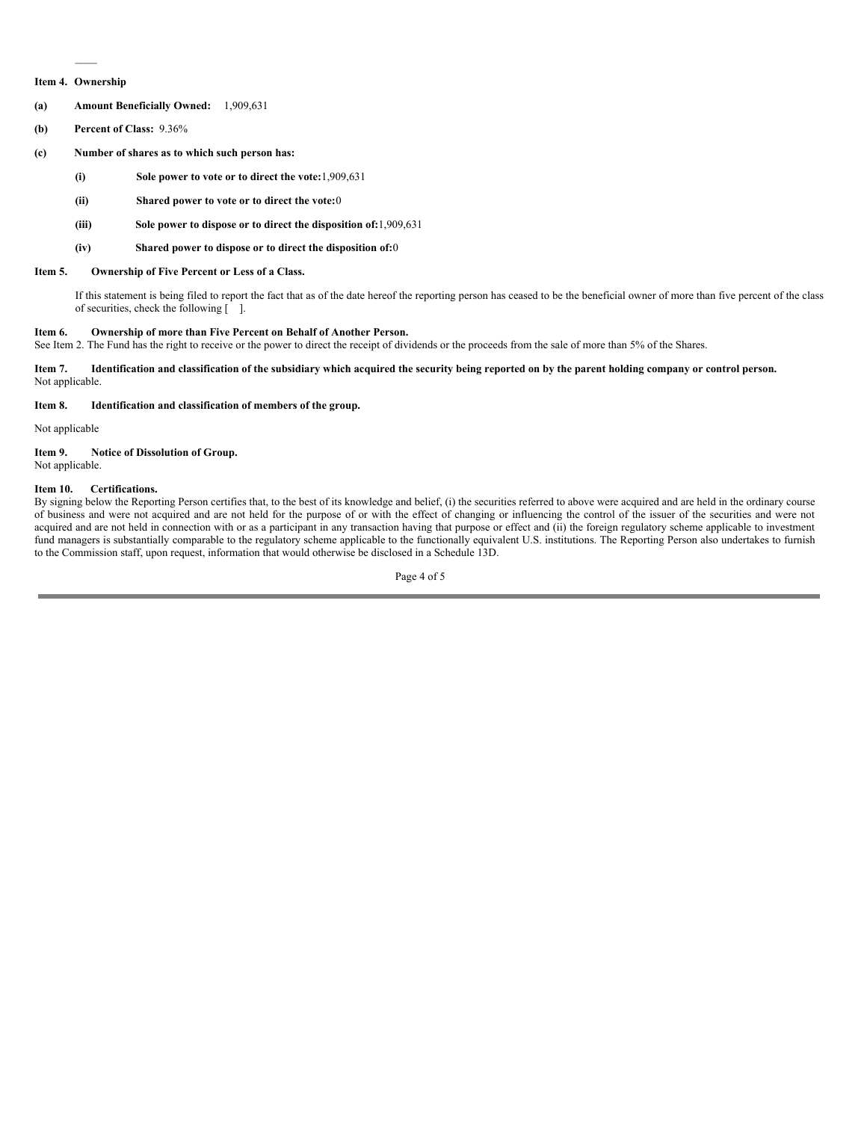### $\mathcal{L}$ **Item 4. Ownership**

- **(a) Amount Beneficially Owned:** 1,909,631
- **(b) Percent of Class:** 9.36%
- **(c) Number of shares as to which such person has:**
	- **(i) Sole power to vote or to direct the vote:**1,909,631
	- **(ii) Shared power to vote or to direct the vote:**0
	- **(iii) Sole power to dispose or to direct the disposition of:**1,909,631
	- **(iv) Shared power to dispose or to direct the disposition of:**0

#### **Item 5. Ownership of Five Percent or Less of a Class.**

If this statement is being filed to report the fact that as of the date hereof the reporting person has ceased to be the beneficial owner of more than five percent of the class of securities, check the following [ ].

#### **Item 6. Ownership of more than Five Percent on Behalf of Another Person.**

See Item 2. The Fund has the right to receive or the power to direct the receipt of dividends or the proceeds from the sale of more than 5% of the Shares.

Item 7. Identification and classification of the subsidiary which acquired the security being reported on by the parent holding company or control person. Not applicable.

#### **Item 8. Identification and classification of members of the group.**

Not applicable

#### **Item 9. Notice of Dissolution of Group.** Not applicable.

#### **Item 10. Certifications.**

By signing below the Reporting Person certifies that, to the best of its knowledge and belief, (i) the securities referred to above were acquired and are held in the ordinary course of business and were not acquired and are not held for the purpose of or with the effect of changing or influencing the control of the issuer of the securities and were not acquired and are not held in connection with or as a participant in any transaction having that purpose or effect and (ii) the foreign regulatory scheme applicable to investment fund managers is substantially comparable to the regulatory scheme applicable to the functionally equivalent U.S. institutions. The Reporting Person also undertakes to furnish to the Commission staff, upon request, information that would otherwise be disclosed in a Schedule 13D.

Page 4 of 5